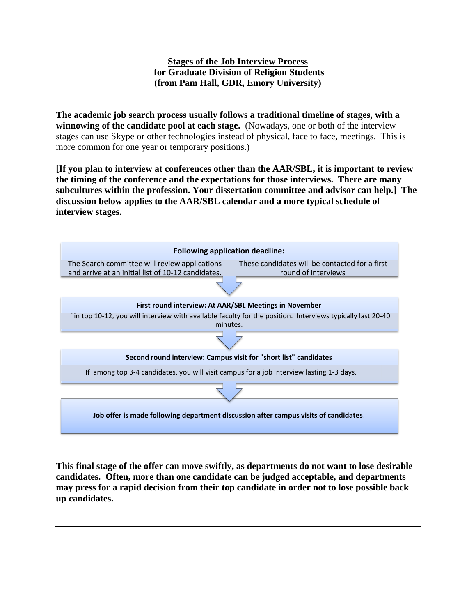## **Stages of the Job Interview Process for Graduate Division of Religion Students (from Pam Hall, GDR, Emory University)**

**The academic job search process usually follows a traditional timeline of stages, with a winnowing of the candidate pool at each stage.** (Nowadays, one or both of the interview stages can use Skype or other technologies instead of physical, face to face, meetings. This is more common for one year or temporary positions.)

**[If you plan to interview at conferences other than the AAR/SBL, it is important to review the timing of the conference and the expectations for those interviews. There are many subcultures within the profession. Your dissertation committee and advisor can help.] The discussion below applies to the AAR/SBL calendar and a more typical schedule of interview stages.** 



**This final stage of the offer can move swiftly, as departments do not want to lose desirable candidates. Often, more than one candidate can be judged acceptable, and departments may press for a rapid decision from their top candidate in order not to lose possible back up candidates.**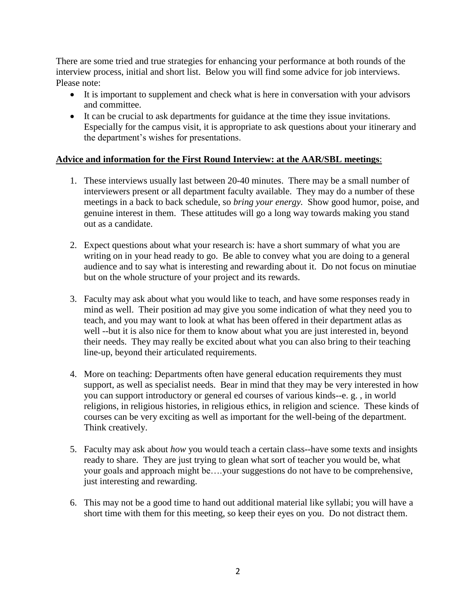There are some tried and true strategies for enhancing your performance at both rounds of the interview process, initial and short list. Below you will find some advice for job interviews. Please note:

- It is important to supplement and check what is here in conversation with your advisors and committee.
- It can be crucial to ask departments for guidance at the time they issue invitations. Especially for the campus visit, it is appropriate to ask questions about your itinerary and the department's wishes for presentations.

## **Advice and information for the First Round Interview: at the AAR/SBL meetings**:

- 1. These interviews usually last between 20-40 minutes. There may be a small number of interviewers present or all department faculty available. They may do a number of these meetings in a back to back schedule, so *bring your energy.* Show good humor, poise, and genuine interest in them. These attitudes will go a long way towards making you stand out as a candidate.
- 2. Expect questions about what your research is: have a short summary of what you are writing on in your head ready to go. Be able to convey what you are doing to a general audience and to say what is interesting and rewarding about it. Do not focus on minutiae but on the whole structure of your project and its rewards.
- 3. Faculty may ask about what you would like to teach, and have some responses ready in mind as well. Their position ad may give you some indication of what they need you to teach, and you may want to look at what has been offered in their department atlas as well --but it is also nice for them to know about what you are just interested in, beyond their needs. They may really be excited about what you can also bring to their teaching line-up, beyond their articulated requirements.
- 4. More on teaching: Departments often have general education requirements they must support, as well as specialist needs. Bear in mind that they may be very interested in how you can support introductory or general ed courses of various kinds--e. g. , in world religions, in religious histories, in religious ethics, in religion and science. These kinds of courses can be very exciting as well as important for the well-being of the department. Think creatively.
- 5. Faculty may ask about *how* you would teach a certain class--have some texts and insights ready to share. They are just trying to glean what sort of teacher you would be, what your goals and approach might be….your suggestions do not have to be comprehensive, just interesting and rewarding.
- 6. This may not be a good time to hand out additional material like syllabi; you will have a short time with them for this meeting, so keep their eyes on you. Do not distract them.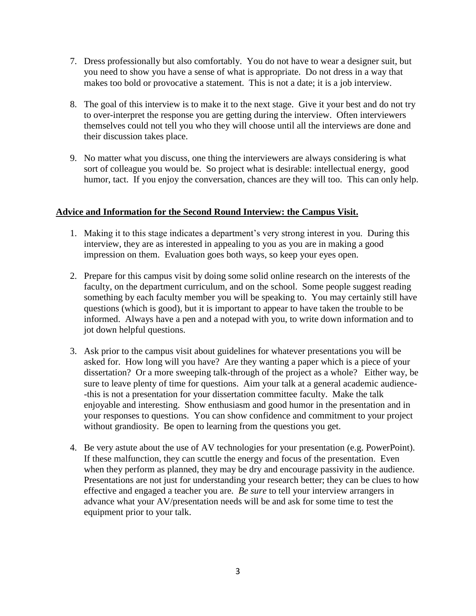- 7. Dress professionally but also comfortably. You do not have to wear a designer suit, but you need to show you have a sense of what is appropriate. Do not dress in a way that makes too bold or provocative a statement. This is not a date; it is a job interview.
- 8. The goal of this interview is to make it to the next stage. Give it your best and do not try to over-interpret the response you are getting during the interview. Often interviewers themselves could not tell you who they will choose until all the interviews are done and their discussion takes place.
- 9. No matter what you discuss, one thing the interviewers are always considering is what sort of colleague you would be. So project what is desirable: intellectual energy, good humor, tact. If you enjoy the conversation, chances are they will too. This can only help.

## **Advice and Information for the Second Round Interview: the Campus Visit.**

- 1. Making it to this stage indicates a department's very strong interest in you. During this interview, they are as interested in appealing to you as you are in making a good impression on them. Evaluation goes both ways, so keep your eyes open.
- 2. Prepare for this campus visit by doing some solid online research on the interests of the faculty, on the department curriculum, and on the school. Some people suggest reading something by each faculty member you will be speaking to. You may certainly still have questions (which is good), but it is important to appear to have taken the trouble to be informed. Always have a pen and a notepad with you, to write down information and to jot down helpful questions.
- 3. Ask prior to the campus visit about guidelines for whatever presentations you will be asked for. How long will you have? Are they wanting a paper which is a piece of your dissertation? Or a more sweeping talk-through of the project as a whole? Either way, be sure to leave plenty of time for questions. Aim your talk at a general academic audience- -this is not a presentation for your dissertation committee faculty. Make the talk enjoyable and interesting. Show enthusiasm and good humor in the presentation and in your responses to questions. You can show confidence and commitment to your project without grandiosity. Be open to learning from the questions you get.
- 4. Be very astute about the use of AV technologies for your presentation (e.g. PowerPoint). If these malfunction, they can scuttle the energy and focus of the presentation. Even when they perform as planned, they may be dry and encourage passivity in the audience. Presentations are not just for understanding your research better; they can be clues to how effective and engaged a teacher you are. *Be sure* to tell your interview arrangers in advance what your AV/presentation needs will be and ask for some time to test the equipment prior to your talk.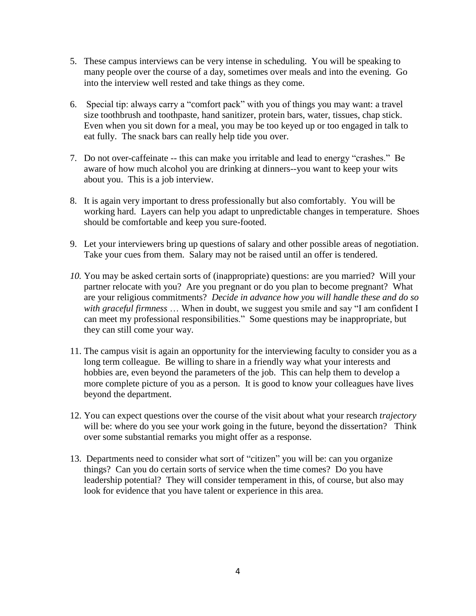- 5. These campus interviews can be very intense in scheduling. You will be speaking to many people over the course of a day, sometimes over meals and into the evening. Go into the interview well rested and take things as they come.
- 6. Special tip: always carry a "comfort pack" with you of things you may want: a travel size toothbrush and toothpaste, hand sanitizer, protein bars, water, tissues, chap stick. Even when you sit down for a meal, you may be too keyed up or too engaged in talk to eat fully. The snack bars can really help tide you over.
- 7. Do not over-caffeinate -- this can make you irritable and lead to energy "crashes." Be aware of how much alcohol you are drinking at dinners--you want to keep your wits about you. This is a job interview.
- 8. It is again very important to dress professionally but also comfortably. You will be working hard. Layers can help you adapt to unpredictable changes in temperature. Shoes should be comfortable and keep you sure-footed.
- 9. Let your interviewers bring up questions of salary and other possible areas of negotiation. Take your cues from them. Salary may not be raised until an offer is tendered.
- *10.* You may be asked certain sorts of (inappropriate) questions: are you married? Will your partner relocate with you? Are you pregnant or do you plan to become pregnant? What are your religious commitments? *Decide in advance how you will handle these and do so with graceful firmness* … When in doubt, we suggest you smile and say "I am confident I can meet my professional responsibilities." Some questions may be inappropriate, but they can still come your way.
- 11. The campus visit is again an opportunity for the interviewing faculty to consider you as a long term colleague. Be willing to share in a friendly way what your interests and hobbies are, even beyond the parameters of the job. This can help them to develop a more complete picture of you as a person. It is good to know your colleagues have lives beyond the department.
- 12. You can expect questions over the course of the visit about what your research *trajectory* will be: where do you see your work going in the future, beyond the dissertation? Think over some substantial remarks you might offer as a response.
- 13. Departments need to consider what sort of "citizen" you will be: can you organize things? Can you do certain sorts of service when the time comes? Do you have leadership potential? They will consider temperament in this, of course, but also may look for evidence that you have talent or experience in this area.